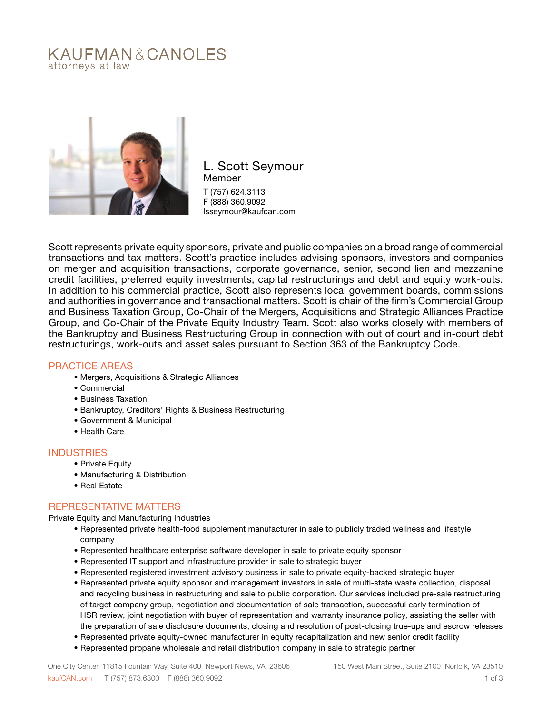# KAUFMAN&CANOLES attorneys at law



L. Scott Seymour Member T (757) 624.3113 F (888) 360.9092 lsseymour@kaufcan.com

Scott represents private equity sponsors, private and public companies on a broad range of commercial transactions and tax matters. Scott's practice includes advising sponsors, investors and companies on merger and acquisition transactions, corporate governance, senior, second lien and mezzanine credit facilities, preferred equity investments, capital restructurings and debt and equity work-outs. In addition to his commercial practice, Scott also represents local government boards, commissions and authorities in governance and transactional matters. Scott is chair of the firm's Commercial Group and Business Taxation Group, Co-Chair of the Mergers, Acquisitions and Strategic Alliances Practice Group, and Co-Chair of the Private Equity Industry Team. Scott also works closely with members of the Bankruptcy and Business Restructuring Group in connection with out of court and in-court debt restructurings, work-outs and asset sales pursuant to Section 363 of the Bankruptcy Code.

### PRACTICE AREAS

- Mergers, Acquisitions & Strategic Alliances
- Commercial
- Business Taxation
- Bankruptcy, Creditors' Rights & Business Restructuring
- Government & Municipal
- Health Care

#### INDUSTRIES

- Private Equity
- Manufacturing & Distribution
- Real Estate

### REPRESENTATIVE MATTERS

Private Equity and Manufacturing Industries

- Represented private health-food supplement manufacturer in sale to publicly traded wellness and lifestyle company
- Represented healthcare enterprise software developer in sale to private equity sponsor
- Represented IT support and infrastructure provider in sale to strategic buyer
- Represented registered investment advisory business in sale to private equity-backed strategic buyer
- Represented private equity sponsor and management investors in sale of multi-state waste collection, disposal and recycling business in restructuring and sale to public corporation. Our services included pre-sale restructuring of target company group, negotiation and documentation of sale transaction, successful early termination of HSR review, joint negotiation with buyer of representation and warranty insurance policy, assisting the seller with the preparation of sale disclosure documents, closing and resolution of post-closing true-ups and escrow releases
- Represented private equity-owned manufacturer in equity recapitalization and new senior credit facility
- Represented propane wholesale and retail distribution company in sale to strategic partner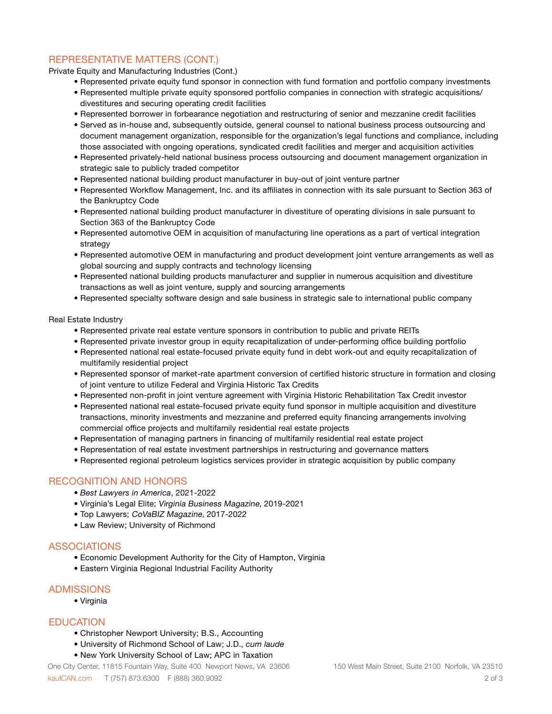## REPRESENTATIVE MATTERS (CONT.)

Private Equity and Manufacturing Industries (Cont.)

- Represented private equity fund sponsor in connection with fund formation and portfolio company investments
- Represented multiple private equity sponsored portfolio companies in connection with strategic acquisitions/ divestitures and securing operating credit facilities
- Represented borrower in forbearance negotiation and restructuring of senior and mezzanine credit facilities
- Served as in-house and, subsequently outside, general counsel to national business process outsourcing and document management organization, responsible for the organization's legal functions and compliance, including those associated with ongoing operations, syndicated credit facilities and merger and acquisition activities
- Represented privately-held national business process outsourcing and document management organization in strategic sale to publicly traded competitor
- Represented national building product manufacturer in buy-out of joint venture partner
- Represented Workflow Management, Inc. and its affiliates in connection with its sale pursuant to Section 363 of the Bankruptcy Code
- Represented national building product manufacturer in divestiture of operating divisions in sale pursuant to Section 363 of the Bankruptcy Code
- Represented automotive OEM in acquisition of manufacturing line operations as a part of vertical integration strategy
- Represented automotive OEM in manufacturing and product development joint venture arrangements as well as global sourcing and supply contracts and technology licensing
- Represented national building products manufacturer and supplier in numerous acquisition and divestiture transactions as well as joint venture, supply and sourcing arrangements
- Represented specialty software design and sale business in strategic sale to international public company

Real Estate Industry

- Represented private real estate venture sponsors in contribution to public and private REITs
- Represented private investor group in equity recapitalization of under-performing office building portfolio
- Represented national real estate-focused private equity fund in debt work-out and equity recapitalization of multifamily residential project
- Represented sponsor of market-rate apartment conversion of certified historic structure in formation and closing of joint venture to utilize Federal and Virginia Historic Tax Credits
- Represented non-profit in joint venture agreement with Virginia Historic Rehabilitation Tax Credit investor
- Represented national real estate-focused private equity fund sponsor in multiple acquisition and divestiture transactions, minority investments and mezzanine and preferred equity financing arrangements involving commercial office projects and multifamily residential real estate projects
- Representation of managing partners in financing of multifamily residential real estate project
- Representation of real estate investment partnerships in restructuring and governance matters
- Represented regional petroleum logistics services provider in strategic acquisition by public company

### RECOGNITION AND HONORS

- *Best Lawyers in America*, 2021-2022
- Virginia's Legal Elite; Virginia Business Magazine, 2019-2021
- Top Lawyers; CoVaBIZ Magazine, 2017-2022
- Law Review; University of Richmond

### ASSOCIATIONS

- Economic Development Authority for the City of Hampton, Virginia
- Eastern Virginia Regional Industrial Facility Authority

### ADMISSIONS

• Virginia

### EDUCATION

- Christopher Newport University; B.S., Accounting
- University of Richmond School of Law; J.D., *cum laude*
- New York University School of Law; APC in Taxation